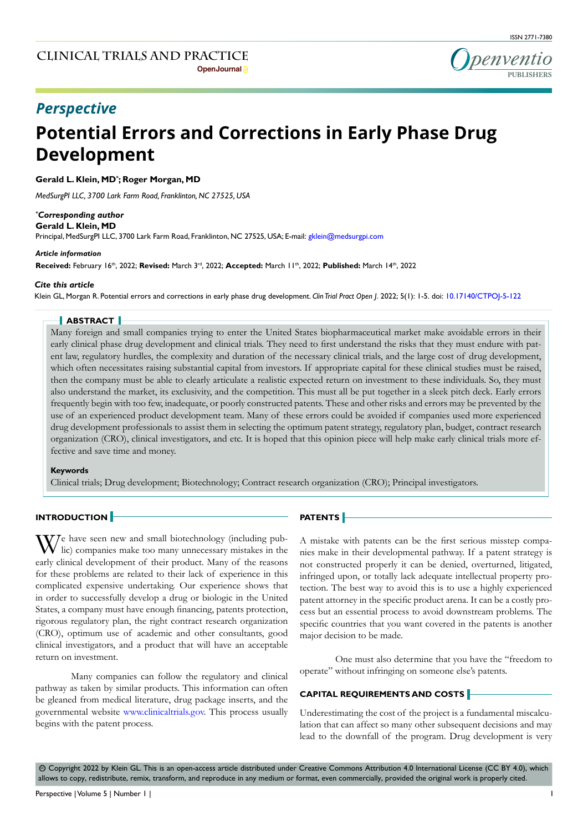

## *Perspective*

# **Potential Errors and Corrections in Early Phase Drug Development**

#### **Gerald L. Klein, MD\* ; Roger Morgan, MD**

*MedSurgPI LLC, 3700 Lark Farm Road, Franklinton, NC 27525, USA*

#### *\* Corresponding author*

**Gerald L. Klein, MD** Principal, MedSurgPI LLC, 3700 Lark Farm Road, Franklinton, NC 27525, USA; E-mail: gklein@medsurgpi.com

#### *Article information*

**Received:** February 16th, 2022; **Revised:** March 3rd, 2022; **Accepted:** March 11th, 2022; **Published:** March 14th, 2022

#### *Cite this article*

Klein GL, Morgan R. Potential errors and corrections in early phase drug development. *Clin Trial Pract Open J*. 2022; 5(1): 1-5. doi: [10.17140/CTPOJ-5-122](http://dx.doi.org/10.17140/CTPOJ-5-122)

#### **ABSTRACT**

Many foreign and small companies trying to enter the United States biopharmaceutical market make avoidable errors in their early clinical phase drug development and clinical trials. They need to first understand the risks that they must endure with patent law, regulatory hurdles, the complexity and duration of the necessary clinical trials, and the large cost of drug development, which often necessitates raising substantial capital from investors. If appropriate capital for these clinical studies must be raised, then the company must be able to clearly articulate a realistic expected return on investment to these individuals. So, they must also understand the market, its exclusivity, and the competition. This must all be put together in a sleek pitch deck. Early errors frequently begin with too few, inadequate, or poorly constructed patents. These and other risks and errors may be prevented by the use of an experienced product development team. Many of these errors could be avoided if companies used more experienced drug development professionals to assist them in selecting the optimum patent strategy, regulatory plan, budget, contract research organization (CRO), clinical investigators, and etc. It is hoped that this opinion piece will help make early clinical trials more effective and save time and money.

#### **Keywords**

Clinical trials; Drug development; Biotechnology; Contract research organization (CRO); Principal investigators.

#### **INTRODUCTION**

We have seen new and small biotechnology (including pub-lic) companies make too many unnecessary mistakes in the early clinical development of their product. Many of the reasons for these problems are related to their lack of experience in this complicated expensive undertaking. Our experience shows that in order to successfully develop a drug or biologic in the United States, a company must have enough financing, patents protection, rigorous regulatory plan, the right contract research organization (CRO), optimum use of academic and other consultants, good clinical investigators, and a product that will have an acceptable return on investment.

Many companies can follow the regulatory and clinical pathway as taken by similar products. This information can often be gleaned from medical literature, drug package inserts, and the governmental website [www.clinicaltrials.gov](http://www.clinicaltrials.gov). This process usually begins with the patent process.

### **PATENTS**

A mistake with patents can be the first serious misstep companies make in their developmental pathway. If a patent strategy is not constructed properly it can be denied, overturned, litigated, infringed upon, or totally lack adequate intellectual property protection. The best way to avoid this is to use a highly experienced patent attorney in the specific product arena. It can be a costly process but an essential process to avoid downstream problems. The specific countries that you want covered in the patents is another major decision to be made.

One must also determine that you have the "freedom to operate" without infringing on someone else's patents.

#### **CAPITAL REQUIREMENTS AND COSTS**

Underestimating the cost of the project is a fundamental miscalculation that can affect so many other subsequent decisions and may lead to the downfall of the program. Drug development is very

 $\circledcirc$  Copyright 2022 by Klein GL. This is an open-access article distributed under Creative Commons Attribution 4.0 International License (CC BY 4.0), which allows to copy, redistribute, remix, transform, and reproduce in any medium or format, even commercially, provided the original work is properly cited.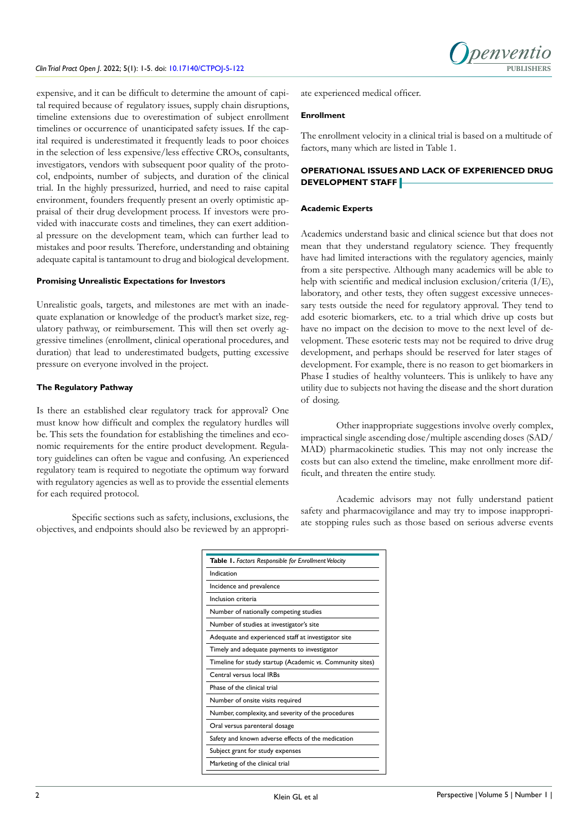#### *Clin Trial Pract Open J.* 2022; 5(1): 1-5. doi: [10.17140/CTPOJ-5-122](http://dx.doi.org/10.17140/CTPOJ-5-122)

Denver

expensive, and it can be difficult to determine the amount of capital required because of regulatory issues, supply chain disruptions, timeline extensions due to overestimation of subject enrollment timelines or occurrence of unanticipated safety issues. If the capital required is underestimated it frequently leads to poor choices in the selection of less expensive/less effective CROs, consultants, investigators, vendors with subsequent poor quality of the protocol, endpoints, number of subjects, and duration of the clinical trial. In the highly pressurized, hurried, and need to raise capital environment, founders frequently present an overly optimistic appraisal of their drug development process. If investors were provided with inaccurate costs and timelines, they can exert additional pressure on the development team, which can further lead to mistakes and poor results. Therefore, understanding and obtaining adequate capital is tantamount to drug and biological development.

#### **Promising Unrealistic Expectations for Investors**

Unrealistic goals, targets, and milestones are met with an inadequate explanation or knowledge of the product's market size, regulatory pathway, or reimbursement. This will then set overly aggressive timelines (enrollment, clinical operational procedures, and duration) that lead to underestimated budgets, putting excessive pressure on everyone involved in the project.

#### **The Regulatory Pathway**

Is there an established clear regulatory track for approval? One must know how difficult and complex the regulatory hurdles will be. This sets the foundation for establishing the timelines and economic requirements for the entire product development. Regulatory guidelines can often be vague and confusing. An experienced regulatory team is required to negotiate the optimum way forward with regulatory agencies as well as to provide the essential elements for each required protocol.

Specific sections such as safety, inclusions, exclusions, the objectives, and endpoints should also be reviewed by an appropriate experienced medical officer.

#### **Enrollment**

The enrollment velocity in a clinical trial is based on a multitude of factors, many which are listed in Table 1.

#### **OPERATIONAL ISSUES AND LACK OF EXPERIENCED DRUG DEVELOPMENT STAFF**

#### **Academic Experts**

Academics understand basic and clinical science but that does not mean that they understand regulatory science. They frequently have had limited interactions with the regulatory agencies, mainly from a site perspective. Although many academics will be able to help with scientific and medical inclusion exclusion/criteria (I/E), laboratory, and other tests, they often suggest excessive unnecessary tests outside the need for regulatory approval. They tend to add esoteric biomarkers, etc. to a trial which drive up costs but have no impact on the decision to move to the next level of development. These esoteric tests may not be required to drive drug development, and perhaps should be reserved for later stages of development. For example, there is no reason to get biomarkers in Phase I studies of healthy volunteers. This is unlikely to have any utility due to subjects not having the disease and the short duration of dosing.

Other inappropriate suggestions involve overly complex, impractical single ascending dose/multiple ascending doses (SAD/ MAD) pharmacokinetic studies. This may not only increase the costs but can also extend the timeline, make enrollment more difficult, and threaten the entire study.

Academic advisors may not fully understand patient safety and pharmacovigilance and may try to impose inappropriate stopping rules such as those based on serious adverse events

| Table 1. Factors Responsible for Enrollment Velocity      |
|-----------------------------------------------------------|
| Indication                                                |
| Incidence and prevalence                                  |
| Inclusion criteria                                        |
| Number of nationally competing studies                    |
| Number of studies at investigator's site                  |
| Adequate and experienced staff at investigator site       |
| Timely and adequate payments to investigator              |
| Timeline for study startup (Academic vs. Community sites) |
| Central versus local IRBs                                 |
| Phase of the clinical trial                               |
| Number of onsite visits required                          |
| Number, complexity, and severity of the procedures        |
| Oral versus parenteral dosage                             |
| Safety and known adverse effects of the medication        |
| Subject grant for study expenses                          |
| Marketing of the clinical trial                           |
|                                                           |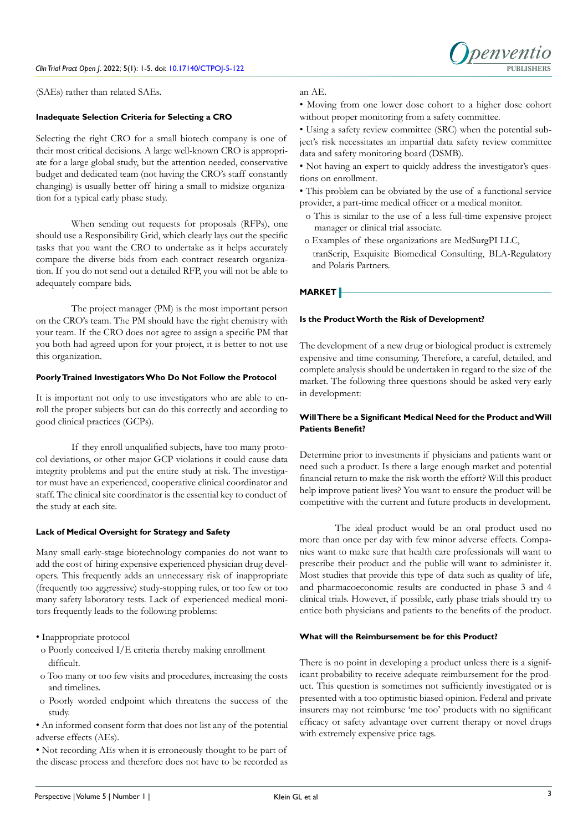

(SAEs) rather than related SAEs.

#### **Inadequate Selection Criteria for Selecting a CRO**

Selecting the right CRO for a small biotech company is one of their most critical decisions. A large well-known CRO is appropriate for a large global study, but the attention needed, conservative budget and dedicated team (not having the CRO's staff constantly changing) is usually better off hiring a small to midsize organization for a typical early phase study.

When sending out requests for proposals (RFPs), one should use a Responsibility Grid, which clearly lays out the specific tasks that you want the CRO to undertake as it helps accurately compare the diverse bids from each contract research organization. If you do not send out a detailed RFP, you will not be able to adequately compare bids.

The project manager (PM) is the most important person on the CRO's team. The PM should have the right chemistry with your team. If the CRO does not agree to assign a specific PM that you both had agreed upon for your project, it is better to not use this organization.

#### **Poorly Trained Investigators Who Do Not Follow the Protocol**

It is important not only to use investigators who are able to enroll the proper subjects but can do this correctly and according to good clinical practices (GCPs).

If they enroll unqualified subjects, have too many protocol deviations, or other major GCP violations it could cause data integrity problems and put the entire study at risk. The investigator must have an experienced, cooperative clinical coordinator and staff. The clinical site coordinator is the essential key to conduct of the study at each site.

#### **Lack of Medical Oversight for Strategy and Safety**

Many small early-stage biotechnology companies do not want to add the cost of hiring expensive experienced physician drug developers. This frequently adds an unnecessary risk of inappropriate (frequently too aggressive) study-stopping rules, or too few or too many safety laboratory tests. Lack of experienced medical monitors frequently leads to the following problems:

- Inappropriate protocol
- o Poorly conceived I/E criteria thereby making enrollment difficult.
- o Too many or too few visits and procedures, increasing the costs and timelines.
- o Poorly worded endpoint which threatens the success of the study.
- An informed consent form that does not list any of the potential adverse effects (AEs).

• Not recording AEs when it is erroneously thought to be part of the disease process and therefore does not have to be recorded as

#### an AE.

• Moving from one lower dose cohort to a higher dose cohort without proper monitoring from a safety committee.

• Using a safety review committee (SRC) when the potential subject's risk necessitates an impartial data safety review committee data and safety monitoring board (DSMB).

- Not having an expert to quickly address the investigator's questions on enrollment.
- This problem can be obviated by the use of a functional service provider, a part-time medical officer or a medical monitor.
	- o This is similar to the use of a less full-time expensive project manager or clinical trial associate.
- o Examples of these organizations are MedSurgPI LLC, tranScrip, Exquisite Biomedical Consulting, BLA-Regulatory and Polaris Partners.

#### **MARKET**

#### **Is the Product Worth the Risk of Development?**

The development of a new drug or biological product is extremely expensive and time consuming. Therefore, a careful, detailed, and complete analysis should be undertaken in regard to the size of the market. The following three questions should be asked very early in development:

#### **Will There be a Significant Medical Need for the Product and Will Patients Benefit?**

Determine prior to investments if physicians and patients want or need such a product. Is there a large enough market and potential financial return to make the risk worth the effort? Will this product help improve patient lives? You want to ensure the product will be competitive with the current and future products in development.

The ideal product would be an oral product used no more than once per day with few minor adverse effects. Companies want to make sure that health care professionals will want to prescribe their product and the public will want to administer it. Most studies that provide this type of data such as quality of life, and pharmacoeconomic results are conducted in phase 3 and 4 clinical trials. However, if possible, early phase trials should try to entice both physicians and patients to the benefits of the product.

#### **What will the Reimbursement be for this Product?**

There is no point in developing a product unless there is a significant probability to receive adequate reimbursement for the product. This question is sometimes not sufficiently investigated or is presented with a too optimistic biased opinion. Federal and private insurers may not reimburse 'me too' products with no significant efficacy or safety advantage over current therapy or novel drugs with extremely expensive price tags.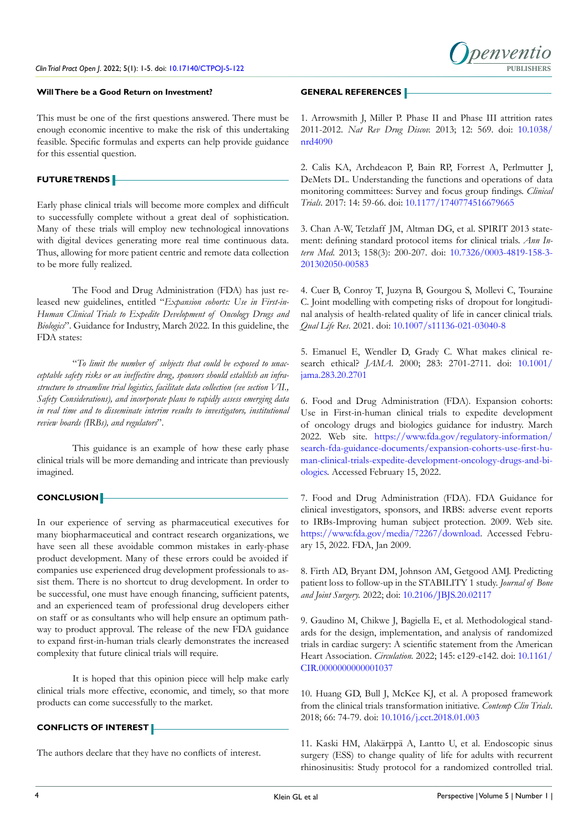#### **Will There be a Good Return on Investment?**

This must be one of the first questions answered. There must be enough economic incentive to make the risk of this undertaking feasible. Specific formulas and experts can help provide guidance for this essential question.

#### **FUTURE TRENDS**

Early phase clinical trials will become more complex and difficult to successfully complete without a great deal of sophistication. Many of these trials will employ new technological innovations with digital devices generating more real time continuous data. Thus, allowing for more patient centric and remote data collection to be more fully realized.

The Food and Drug Administration (FDA) has just released new guidelines, entitled "*Expansion cohorts: Use in First-in-Human Clinical Trials to Expedite Development of Oncology Drugs and Biologics*". Guidance for Industry, March 2022. In this guideline, the FDA states:

"*To limit the number of subjects that could be exposed to unacceptable safety risks or an ineffective drug, sponsors should establish an infrastructure to streamline trial logistics, facilitate data collection (see section VII., Safety Considerations), and incorporate plans to rapidly assess emerging data in real time and to disseminate interim results to investigators, institutional review boards (IRBs), and regulators*".

This guidance is an example of how these early phase clinical trials will be more demanding and intricate than previously imagined.

#### **CONCLUSION**

In our experience of serving as pharmaceutical executives for many biopharmaceutical and contract research organizations, we have seen all these avoidable common mistakes in early-phase product development. Many of these errors could be avoided if companies use experienced drug development professionals to assist them. There is no shortcut to drug development. In order to be successful, one must have enough financing, sufficient patents, and an experienced team of professional drug developers either on staff or as consultants who will help ensure an optimum pathway to product approval. The release of the new FDA guidance to expand first-in-human trials clearly demonstrates the increased complexity that future clinical trials will require.

It is hoped that this opinion piece will help make early clinical trials more effective, economic, and timely, so that more products can come successfully to the market.

#### **CONFLICTS OF INTEREST**

The authors declare that they have no conflicts of interest.

#### **GENERAL REFERENCES**

1. Arrowsmith J, Miller P. Phase II and Phase III attrition rates 2011-2012. *Nat Rev Drug Discov.* 2013; 12: 569. doi: [10.1038/](http://doi.org/10.1038/nrd4090) [nrd4090](http://doi.org/10.1038/nrd4090)

2. Calis KA, Archdeacon P, Bain RP, Forrest A, Perlmutter J, DeMets DL. Understanding the functions and operations of data monitoring committees: Survey and focus group findings. *Clinical Trials*. 2017: 14: 59-66. doi: [10.1177/1740774516679665](http://doi.org/10.1177/1740774516679665) 

3. Chan A-W, Tetzlaff JM, Altman DG, et al. SPIRIT 2013 statement: defining standard protocol items for clinical trials. *Ann Intern Med*. 2013; 158(3): 200-207. doi: [10.7326/0003-4819-158-3-](http://doi.org/10.7326/0003-4819-158-3-201302050-00583) [201302050-00583](http://doi.org/10.7326/0003-4819-158-3-201302050-00583)

4. Cuer B, Conroy T, Juzyna B, Gourgou S, Mollevi C, Touraine C. Joint modelling with competing risks of dropout for longitudinal analysis of health-related quality of life in cancer clinical trials. *Qual Life Res*. 2021. doi: [10.1007/s11136-021-03040-8](http://doi.org/10.1007/s11136-021-03040-8)

5. Emanuel E, Wendler D, Grady C. What makes clinical research ethical? *JAMA*. 2000; 283: 2701-2711. doi: [10.1001/](http://doi.org/10.1001/jama.283.20.2701) [jama.283.20.2701](http://doi.org/10.1001/jama.283.20.2701)

6. Food and Drug Administration (FDA). Expansion cohorts: Use in First-in-human clinical trials to expedite development of oncology drugs and biologics guidance for industry. March 2022. Web site. [https://www.fda.gov/regulatory-information/](https://www.fda.gov/regulatory-information/search-fda-guidance-documents/expansion-cohorts-use-first-human-clinical-trials-expedite-development-oncology-drugs-and-biologics) [search-fda-guidance-documents/expansion-cohorts-use-first-hu](https://www.fda.gov/regulatory-information/search-fda-guidance-documents/expansion-cohorts-use-first-human-clinical-trials-expedite-development-oncology-drugs-and-biologics)[man-clinical-trials-expedite-development-oncology-drugs-and-bi](https://www.fda.gov/regulatory-information/search-fda-guidance-documents/expansion-cohorts-use-first-human-clinical-trials-expedite-development-oncology-drugs-and-biologics)[ologics](https://www.fda.gov/regulatory-information/search-fda-guidance-documents/expansion-cohorts-use-first-human-clinical-trials-expedite-development-oncology-drugs-and-biologics). Accessed February 15, 2022.

7. Food and Drug Administration (FDA). FDA Guidance for clinical investigators, sponsors, and IRBS: adverse event reports to IRBs-Improving human subject protection. 2009. Web site. <https://www.fda.gov/media/72267/download>. Accessed February 15, 2022. FDA, Jan 2009.

8. Firth AD, Bryant DM, Johnson AM, Getgood AMJ. Predicting patient loss to follow-up in the STABILITY 1 study. *Journal of Bone and Joint Surgery.* 2022; doi: [10.2106/JBJS.20.02117](http://doi.org/10.2106/JBJS.20.02117)

9. Gaudino M, Chikwe J, Bagiella E, et al. Methodological standards for the design, implementation, and analysis of randomized trials in cardiac surgery: A scientific statement from the American Heart Association. *Circulation.* 2022; 145: e129-e142. doi: [10.1161/](http://doi.org/10.1161/CIR.0000000000001037) [CIR.0000000000001037](http://doi.org/10.1161/CIR.0000000000001037)

10. Huang GD, Bull J, McKee KJ, et al. A proposed framework from the clinical trials transformation initiative. *Contemp Clin Trials*. 2018; 66: 74-79. doi: [10.1016/j.cct.2018.01.003](http://doi.org/10.1016/j.cct.2018.01.003)

11. Kaski HM, Alakärppä A, Lantto U, et al. Endoscopic sinus surgery (ESS) to change quality of life for adults with recurrent rhinosinusitis: Study protocol for a randomized controlled trial.